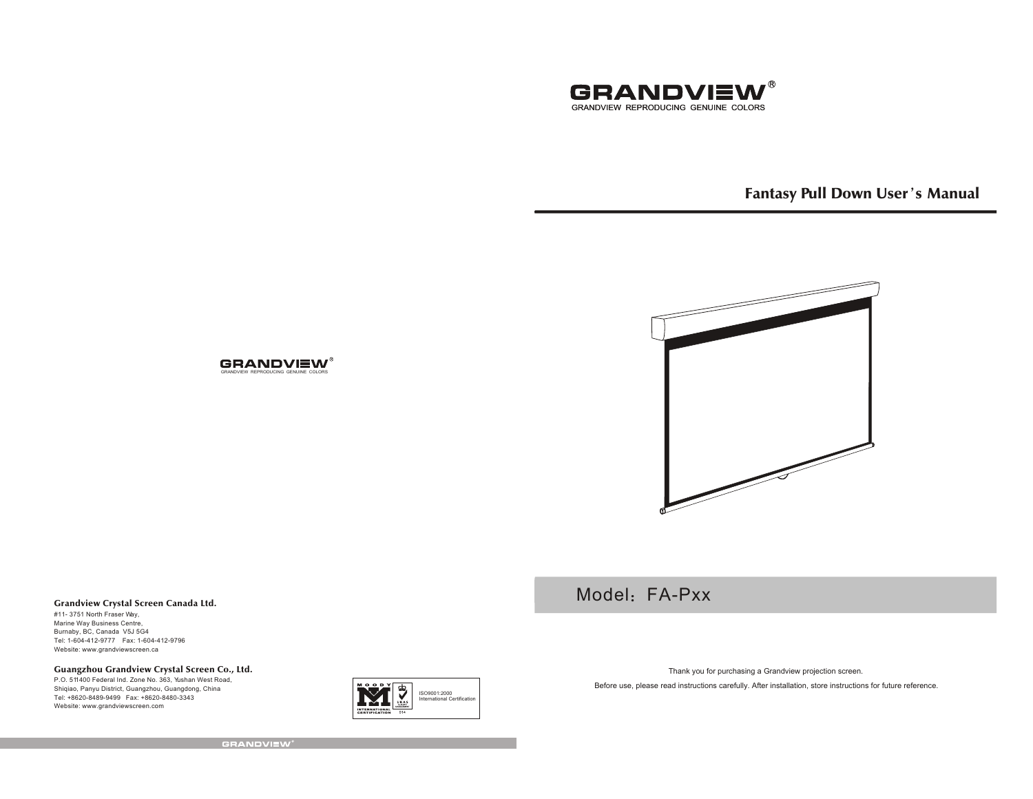

Model: FA-Pxx

# Fantasy Pull Down User's Manual



### **GRANDVIEW®** GRANDVIEW REPRODUCING GENUINE COLORS

## Grandview Crystal Screen Canada Ltd.

#11- 3751 North Fraser Way, Marine Way Business Centre, Burnaby, BC, Canada V5J 5G4 Tel: 1-604-412-9777 Fax: 1-604-412-9796 Website: www.grandviewscreen.ca

## Guangzhou Grandview Crystal Screen Co., Ltd.

P.O. 511400 Federal Ind. Zone No. 363, Yushan West Road, Shiqiao, Panyu District, Guangzhou, Guangdong, China Tel: +8620-8489-9499 Fax: +8620-8480-3343Website: www.grandviewscreen.com



Thank you for purchasing a Grandview projection screen.

Before use, please read instructions carefully. After installation, store instructions for future reference.

**GRANDVIEW**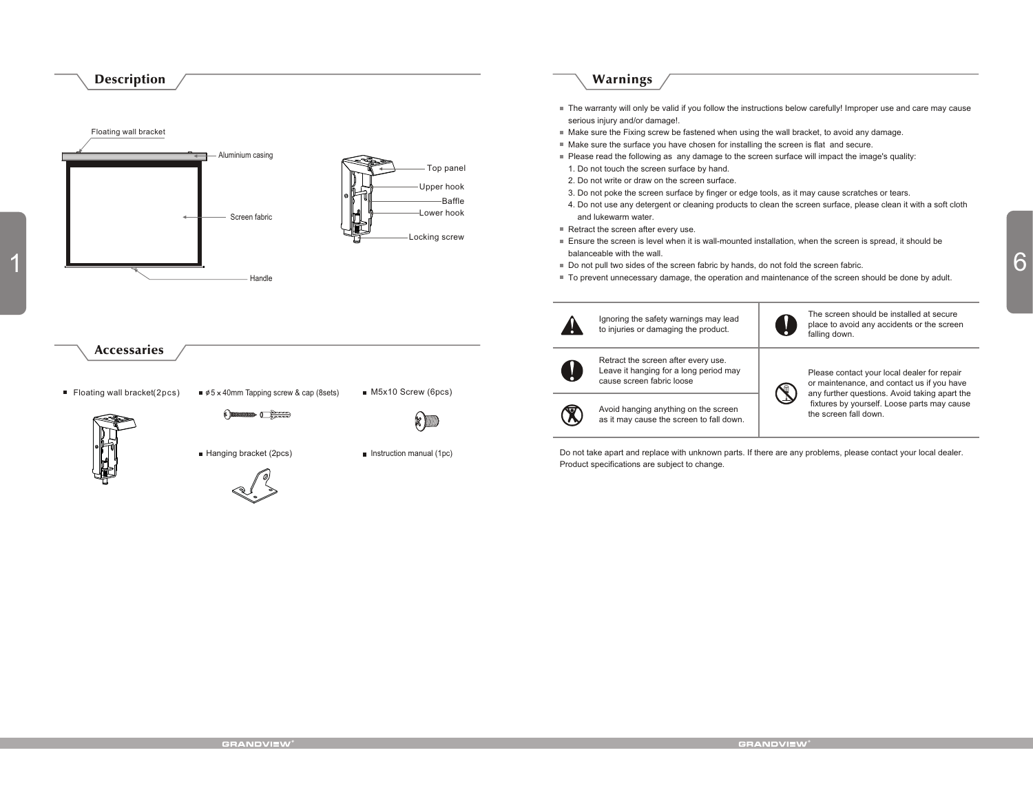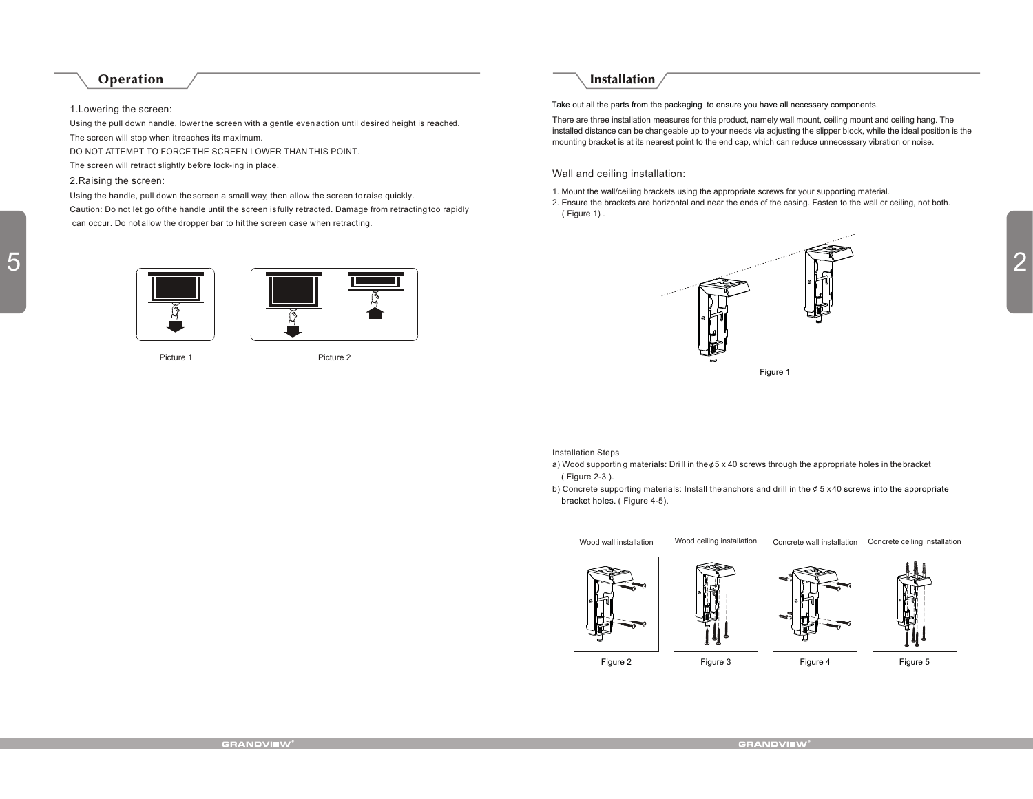## Operation

## 1.Lowering the screen:

Using the pull down handle, lower the screen with a gentle even action until desired height is reached. The screen will stop when it reaches its maximum.

DO NOT ATTEMPT TO FORCE THE SCREEN LOWER THAN THIS POINT.

The screen will retract slightly before lock-ing in place.

## 2.Raising the screen:

5

Using the handle, pull down the screen a small way, then allow the screen to raise quickly.

Caution: Do not let go of the handle until the screen is fully retracted. Damage from retracting too rapidly can occur. Do not allow the dropper bar to hit the screen case when retracting.





Picture 1 Picture 2



Take out all the parts from the packaging to ensure you have all necessary components.

There are three installation measures for this product, namely wall mount, ceiling mount and ceiling hang. The installed distance can be changeable up to your needs via adjusting the slipper block, while the ideal position is the mounting bracket is at its nearest point to the end cap, which can reduce unnecessary vibration or noise.

Wall and ceiling installation:

1. Mount the wall/ceiling brackets using the appropriate screws for your supporting material.

2. Ensure the brackets are horizontal and near the ends of the casing. Fasten to the wall or ceiling, not both. ( Figure 1) .



Installation Steps

- a) Wood supportin g materials: Dri II in the  $\phi$ 5 x 40 screws through the appropriate holes in the bracket ( Figure 2-3 ).
- b) Concrete supporting materials: Install the anchors and drill in the  $\phi$  5 x40 screws into the appropriate bracket holes. (Figure 4-5).

Wood wall installation

Wood ceiling installation Concrete wall installation Concrete ceiling installation













Figure 2 Figure 3 Figure 4 Figure 5